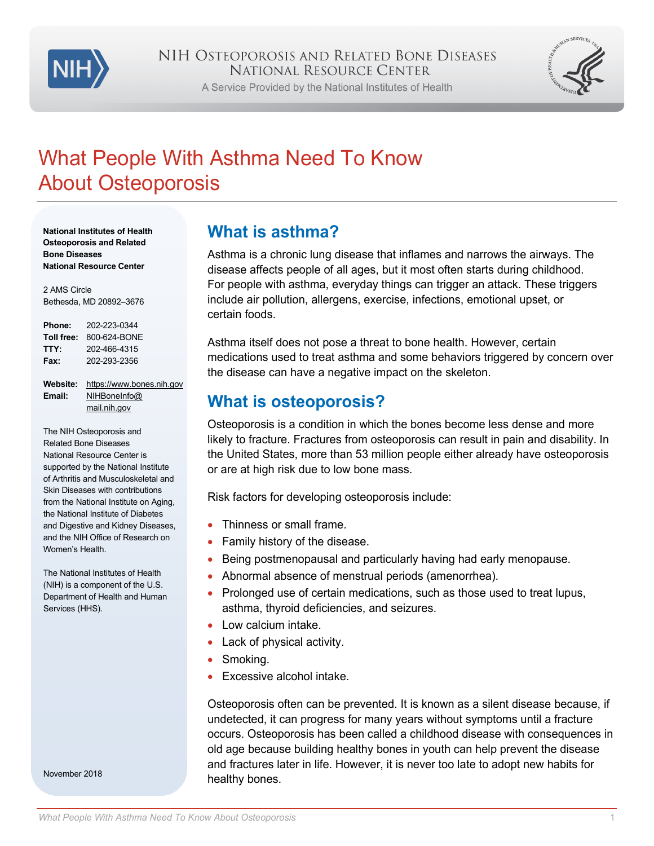

A Service Provided by the National Institutes of Health



# What People With Asthma Need To Know About Osteoporosis

**National Institutes of Health Osteoporosis and Related Bone Diseases National Resource Center**

2 AMS Circle Bethesda, MD 20892–3676

| Phone:     | 202-223-0344 |
|------------|--------------|
| Toll free: | 800-624-BONE |
| TTY:       | 202-466-4315 |
| Fax:       | 202-293-2356 |

**Website:** [https://www.bones.nih.gov](https://www.bones.nih.gov/) **Email:** [NIHBoneInfo@](mailto:NIHBoneInfo@mail.nih.gov) [mail.nih.gov](mailto:NIHBoneInfo@mail.nih.gov)

The NIH Osteoporosis and Related Bone Diseases National Resource Center is supported by the National Institute of Arthritis and Musculoskeletal and Skin Diseases with contributions from the National Institute on Aging, the National Institute of Diabetes and Digestive and Kidney Diseases, and the NIH Office of Research on Women's Health.

The National Institutes of Health (NIH) is a component of the U.S. Department of Health and Human Services (HHS).

November 2018

## **What is asthma?**

Asthma is a chronic lung disease that inflames and narrows the airways. The disease affects people of all ages, but it most often starts during childhood. For people with asthma, everyday things can trigger an attack. These triggers include air pollution, allergens, exercise, infections, emotional upset, or certain foods.

Asthma itself does not pose a threat to bone health. However, certain medications used to treat asthma and some behaviors triggered by concern over the disease can have a negative impact on the skeleton.

#### **What is osteoporosis?**

Osteoporosis is a condition in which the bones become less dense and more likely to fracture. Fractures from osteoporosis can result in pain and disability. In the United States, more than 53 million people either already have osteoporosis or are at high risk due to low bone mass.

Risk factors for developing osteoporosis include:

- Thinness or small frame.
- Family history of the disease.
- Being postmenopausal and particularly having had early menopause.
- Abnormal absence of menstrual periods (amenorrhea).
- Prolonged use of certain medications, such as those used to treat lupus, asthma, thyroid deficiencies, and seizures.
- Low calcium intake.
- Lack of physical activity.
- Smoking.
- Excessive alcohol intake.

Osteoporosis often can be prevented. It is known as a silent disease because, if undetected, it can progress for many years without symptoms until a fracture occurs. Osteoporosis has been called a childhood disease with consequences in old age because building healthy bones in youth can help prevent the disease and fractures later in life. However, it is never too late to adopt new habits for healthy bones.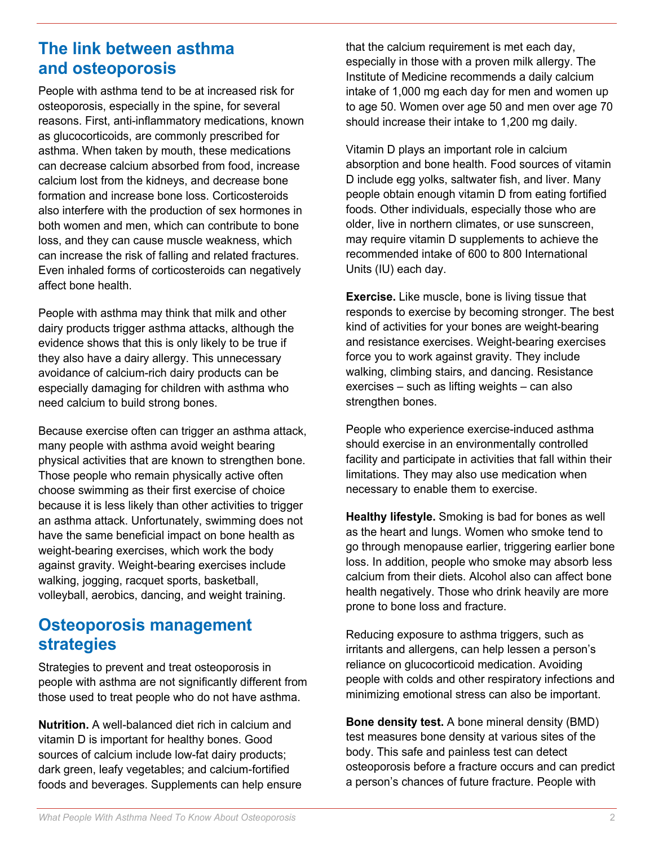#### **The link between asthma and osteoporosis**

People with asthma tend to be at increased risk for osteoporosis, especially in the spine, for several reasons. First, anti-inflammatory medications, known as glucocorticoids, are commonly prescribed for asthma. When taken by mouth, these medications can decrease calcium absorbed from food, increase calcium lost from the kidneys, and decrease bone formation and increase bone loss. Corticosteroids also interfere with the production of sex hormones in both women and men, which can contribute to bone loss, and they can cause muscle weakness, which can increase the risk of falling and related fractures. Even inhaled forms of corticosteroids can negatively affect bone health.

People with asthma may think that milk and other dairy products trigger asthma attacks, although the evidence shows that this is only likely to be true if they also have a dairy allergy. This unnecessary avoidance of calcium-rich dairy products can be especially damaging for children with asthma who need calcium to build strong bones.

Because exercise often can trigger an asthma attack, many people with asthma avoid weight bearing physical activities that are known to strengthen bone. Those people who remain physically active often choose swimming as their first exercise of choice because it is less likely than other activities to trigger an asthma attack. Unfortunately, swimming does not have the same beneficial impact on bone health as weight-bearing exercises, which work the body against gravity. Weight-bearing exercises include walking, jogging, racquet sports, basketball, volleyball, aerobics, dancing, and weight training.

## **Osteoporosis management strategies**

Strategies to prevent and treat osteoporosis in people with asthma are not significantly different from those used to treat people who do not have asthma.

**Nutrition.** A well-balanced diet rich in calcium and vitamin D is important for healthy bones. Good sources of calcium include low-fat dairy products; dark green, leafy vegetables; and calcium-fortified foods and beverages. Supplements can help ensure that the calcium requirement is met each day, especially in those with a proven milk allergy. The Institute of Medicine recommends a daily calcium intake of 1,000 mg each day for men and women up to age 50. Women over age 50 and men over age 70 should increase their intake to 1,200 mg daily.

Vitamin D plays an important role in calcium absorption and bone health. Food sources of vitamin D include egg yolks, saltwater fish, and liver. Many people obtain enough vitamin D from eating fortified foods. Other individuals, especially those who are older, live in northern climates, or use sunscreen, may require vitamin D supplements to achieve the recommended intake of 600 to 800 International Units (IU) each day.

**Exercise.** Like muscle, bone is living tissue that responds to exercise by becoming stronger. The best kind of activities for your bones are weight-bearing and resistance exercises. Weight-bearing exercises force you to work against gravity. They include walking, climbing stairs, and dancing. Resistance exercises – such as lifting weights – can also strengthen bones.

People who experience exercise-induced asthma should exercise in an environmentally controlled facility and participate in activities that fall within their limitations. They may also use medication when necessary to enable them to exercise.

**Healthy lifestyle.** Smoking is bad for bones as well as the heart and lungs. Women who smoke tend to go through menopause earlier, triggering earlier bone loss. In addition, people who smoke may absorb less calcium from their diets. Alcohol also can affect bone health negatively. Those who drink heavily are more prone to bone loss and fracture.

Reducing exposure to asthma triggers, such as irritants and allergens, can help lessen a person's reliance on glucocorticoid medication. Avoiding people with colds and other respiratory infections and minimizing emotional stress can also be important.

**Bone density test.** A bone mineral density (BMD) test measures bone density at various sites of the body. This safe and painless test can detect osteoporosis before a fracture occurs and can predict a person's chances of future fracture. People with